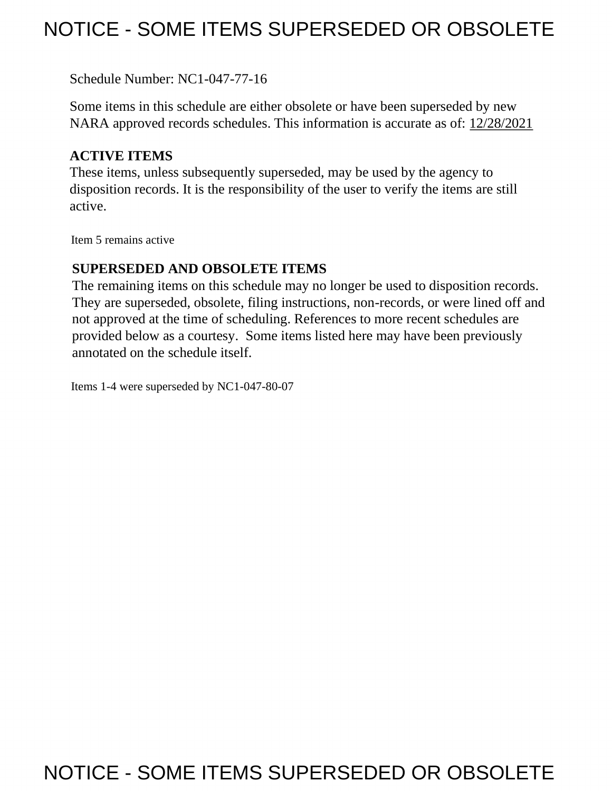# NOTICE - SOME ITEMS SUPERSEDED OR OBSOLETE

Schedule Number: NC1-047-77-16

 Some items in this schedule are either obsolete or have been superseded by new NARA approved records schedules. This information is accurate as of: 12/28/2021

# **ACTIVE ITEMS**

 These items, unless subsequently superseded, may be used by the agency to disposition records. It is the responsibility of the user to verify the items are still active.

Item 5 remains active

## **SUPERSEDED AND OBSOLETE ITEMS**

 The remaining items on this schedule may no longer be used to disposition records. not approved at the time of scheduling. References to more recent schedules are provided below as a courtesy. Some items listed here may have been previously They are superseded, obsolete, filing instructions, non-records, or were lined off and annotated on the schedule itself.

Items 1-4 were superseded by NC1-047-80-07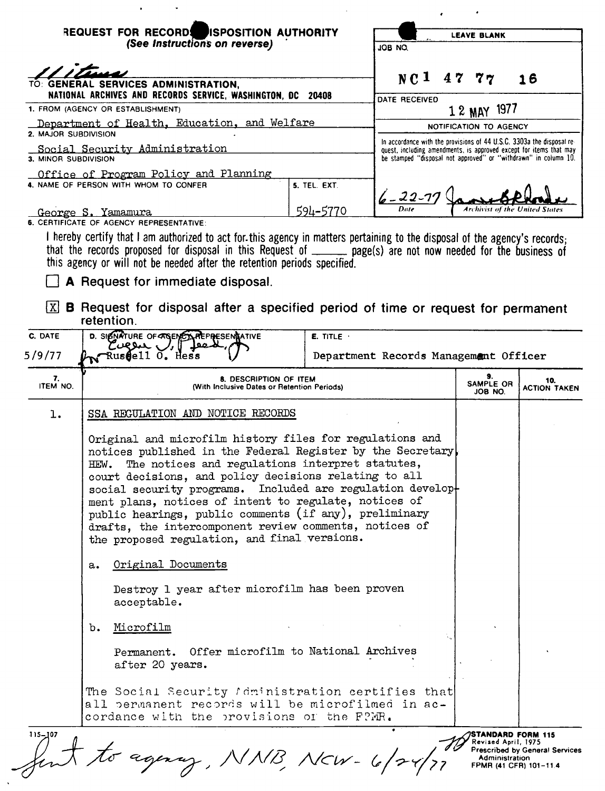| <b>REQUEST FOR RECORD!</b><br><b>ISPOSITION AUTHORITY</b><br>(See Instructions on reverse)<br>TO: GENERAL SERVICES ADMINISTRATION.<br>NATIONAL ARCHIVES AND RECORDS SERVICE, WASHINGTON, DC 20408                                                                                                                          |                          | <b>LEAVE BLANK</b><br>JOB NO.                                                                                                                                                                                  |  |  |  |
|----------------------------------------------------------------------------------------------------------------------------------------------------------------------------------------------------------------------------------------------------------------------------------------------------------------------------|--------------------------|----------------------------------------------------------------------------------------------------------------------------------------------------------------------------------------------------------------|--|--|--|
|                                                                                                                                                                                                                                                                                                                            |                          | NCI<br>4777<br>16<br>DATE RECEIVED                                                                                                                                                                             |  |  |  |
| 1. FROM (AGENCY OR ESTABLISHMENT)                                                                                                                                                                                                                                                                                          |                          | 1 2 MAY 1977                                                                                                                                                                                                   |  |  |  |
| Department of Health, Education, and Welfare<br>2. MAJOR SUBDIVISION                                                                                                                                                                                                                                                       |                          | NOTIFICATION TO AGENCY                                                                                                                                                                                         |  |  |  |
| Social Security Administration<br>3. MINOR SUBDIVISION                                                                                                                                                                                                                                                                     |                          | In accordance with the provisions of 44 U.S.C. 3303a the disposal re-<br>quest, including amendments, is approved except for items that may<br>be stamped "disposal not approved" or "withdrawn" in column 10. |  |  |  |
| Office of Program Policy and Planning<br>4. NAME OF PERSON WITH WHOM TO CONFER<br><u> George S. Yamamura</u>                                                                                                                                                                                                               | 5. TEL. EXT.<br>594–5770 | $6 - 22 - 77$<br>Archivist of the United States                                                                                                                                                                |  |  |  |
| 6. CERTIFICATE OF AGENCY REPRESENTATIVE:                                                                                                                                                                                                                                                                                   |                          |                                                                                                                                                                                                                |  |  |  |
| I hereby certify that I am authorized to act for this agency in matters pertaining to the disposal of the agency's records;<br>that the records proposed for disposal in this Request of ______ page(s) are not now needed for the business of<br>this agency or will not be needed after the retention periods specified. |                          |                                                                                                                                                                                                                |  |  |  |
| <b>A</b> Request for immediate disposal.                                                                                                                                                                                                                                                                                   |                          |                                                                                                                                                                                                                |  |  |  |
| B Request for disposal after a specified period of time or request for permanent<br>XI.<br>retention.                                                                                                                                                                                                                      |                          |                                                                                                                                                                                                                |  |  |  |

| REQUEST FOR RECORD! ISPOSITION AUTHORITY<br>(See Instructions on reverse) |                                                                                                                                                                                                                                                                                                                                                                                                                                                                                                                                       | JOB NO.             | <b>LEAVE BLANK</b>                                                                                                                    |                            |                            |
|---------------------------------------------------------------------------|---------------------------------------------------------------------------------------------------------------------------------------------------------------------------------------------------------------------------------------------------------------------------------------------------------------------------------------------------------------------------------------------------------------------------------------------------------------------------------------------------------------------------------------|---------------------|---------------------------------------------------------------------------------------------------------------------------------------|----------------------------|----------------------------|
|                                                                           | TO: GENERAL SERVICES ADMINISTRATION,<br>NATIONAL ARCHIVES AND RECORDS SERVICE, WASHINGTON, DC 20408                                                                                                                                                                                                                                                                                                                                                                                                                                   |                     | $NC1$ 47 77                                                                                                                           |                            | 16                         |
|                                                                           | 1. FROM (AGENCY OR ESTABLISHMENT)                                                                                                                                                                                                                                                                                                                                                                                                                                                                                                     |                     | DATE RECEIVED                                                                                                                         | 1 2 MAY 1977               |                            |
|                                                                           | Department of Health, Education, and Welfare                                                                                                                                                                                                                                                                                                                                                                                                                                                                                          |                     |                                                                                                                                       | NOTIFICATION TO AGENCY     |                            |
| 2. MAJOR SUBDIVISION                                                      |                                                                                                                                                                                                                                                                                                                                                                                                                                                                                                                                       |                     | In accordance with the provisions of 44 U.S.C. 3303a the disposal re-                                                                 |                            |                            |
| 3. MINOR SUBDIVISION                                                      | Social Security Administration                                                                                                                                                                                                                                                                                                                                                                                                                                                                                                        |                     | quest, including amendments, is approved except for items that may<br>be stamped "disposal not approved" or "withdrawn" in column 10. |                            |                            |
|                                                                           | Office of Program Policy and Planning<br>4. NAME OF PERSON WITH WHOM TO CONFER                                                                                                                                                                                                                                                                                                                                                                                                                                                        | <b>5. TEL. EXT.</b> | $6 - 22 - 77$                                                                                                                         |                            |                            |
|                                                                           | George S. Yamamura                                                                                                                                                                                                                                                                                                                                                                                                                                                                                                                    | 594-5770            |                                                                                                                                       |                            |                            |
|                                                                           | 6. CERTIFICATE OF AGENCY REPRESENTATIVE:                                                                                                                                                                                                                                                                                                                                                                                                                                                                                              |                     |                                                                                                                                       |                            |                            |
|                                                                           | A Request for immediate disposal.<br>$\boxed{\mathbb{X}}$ <b>B</b> Request for disposal after a specified period of time or request for permanent<br>retention.                                                                                                                                                                                                                                                                                                                                                                       |                     |                                                                                                                                       |                            |                            |
| C. DATE                                                                   | D. SIGNATURE OF TRENCLAREPRESENSATIVE<br>Covon J.F                                                                                                                                                                                                                                                                                                                                                                                                                                                                                    | $E.$ TITLE $\cdot$  |                                                                                                                                       |                            |                            |
| 5/9/77                                                                    | N <sup>Russell</sup> 0. Hess                                                                                                                                                                                                                                                                                                                                                                                                                                                                                                          |                     | Department Records Management Officer                                                                                                 |                            |                            |
| 7.<br>ITEM NO.                                                            | 8. DESCRIPTION OF ITEM<br>(With Inclusive Dates or Retention Periods)                                                                                                                                                                                                                                                                                                                                                                                                                                                                 |                     |                                                                                                                                       | 9.<br>SAMPLE OR<br>JOB NO. | 10.<br><b>ACTION TAKEN</b> |
| ı.                                                                        | SSA REGULATION AND NOTICE RECORDS                                                                                                                                                                                                                                                                                                                                                                                                                                                                                                     |                     |                                                                                                                                       |                            |                            |
|                                                                           | Original and microfilm history files for regulations and<br>notices published in the Federal Register by the Secretary<br>The notices and regulations interpret statutes,<br>HEW.<br>court decisions, and policy decisions relating to all<br>social security programs. Included are regulation develop-<br>ment plans, notices of intent to regulate, notices of<br>public hearings, public comments (if any), preliminary<br>drafts, the intercomponent review comments, notices of<br>the proposed regulation, and final versions. |                     |                                                                                                                                       |                            |                            |
|                                                                           | Original Documents<br>а.                                                                                                                                                                                                                                                                                                                                                                                                                                                                                                              |                     |                                                                                                                                       |                            |                            |
|                                                                           | Destroy 1 year after microfilm has been proven<br>acceptable.                                                                                                                                                                                                                                                                                                                                                                                                                                                                         |                     |                                                                                                                                       |                            |                            |
|                                                                           | Microfilm<br>b.                                                                                                                                                                                                                                                                                                                                                                                                                                                                                                                       |                     |                                                                                                                                       |                            |                            |
|                                                                           | Permanent. Offer microfilm to National Archives<br>after 20 years.                                                                                                                                                                                                                                                                                                                                                                                                                                                                    |                     |                                                                                                                                       |                            |                            |
|                                                                           | The Social Security Administration certifies that<br>all permanent records will be microfilmed in ac-                                                                                                                                                                                                                                                                                                                                                                                                                                 |                     |                                                                                                                                       |                            |                            |
|                                                                           | cordance with the provisions of the FPMR.                                                                                                                                                                                                                                                                                                                                                                                                                                                                                             |                     |                                                                                                                                       |                            |                            |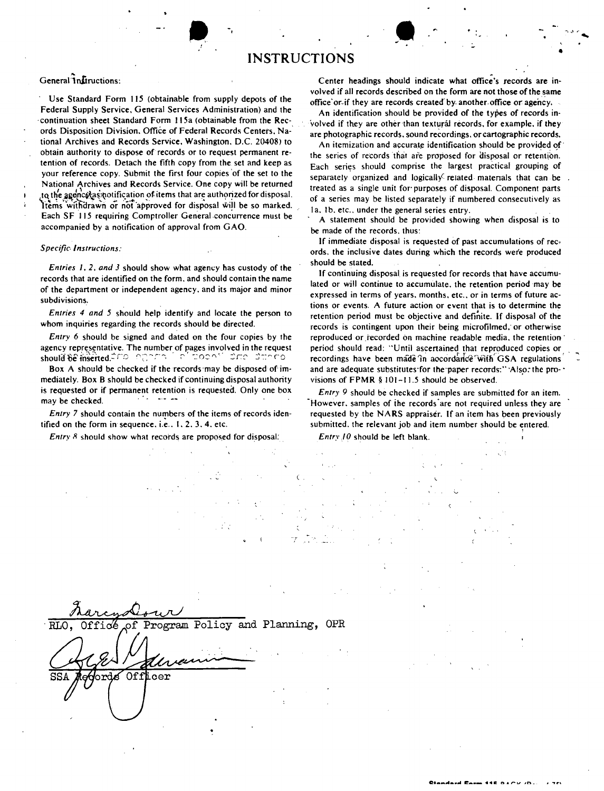## **INSTRUCTIONS**

### General Instructions:

Use Standard Form 115 (obtainable from supply depots of the Federal Supply Service, General Services Administration) and the continuation sheet Standard Form 115a (obtainable from the Records Disposition Division, Office of Federal Records Centers, National Archives and Records Service, Washington, D.C. 20408) to obtain authority to dispose of records or to request permanent retention of records. Detach the fifth copy from the set and keep as your reference copy. Submit the first four copies of the set to the National Archives and Records Service. One copy will be returned to the agency as notification of items that are authorized for disposal. Items withdrawn or not approved for disposal will be so marked. Each SF 115 requiring Comptroller General concurrence must be accompanied by a notification of approval from GAO.

#### **Specific Instructions:**

Entries 1, 2, and 3 should show what agency has custody of the records that are identified on the form, and should contain the name of the department or independent agency, and its major and minor subdivisions.

Entries 4 and 5 should help identify and locate the person to whom inquiries regarding the records should be directed.

Entry 6 should be signed and dated on the four copies by the agency representative. The number of pages involved in the request should be inserted. The legaling is a funded in density of the dimension

Box A should be checked if the records may be disposed of immediately. Box B should be checked if continuing disposal authority is requested or if permanent retention is requested. Only one box may be checked.

Entry 7 should contain the numbers of the items of records identified on the form in sequence, i.e., 1, 2, 3, 4, etc.

Entry 8 should show what records are proposed for disposal:

Center headings should indicate what office's records are involved if all records described on the form are not those of the same office or if they are records created by another office or agency.

An identification should be provided of the types of records involved if they are other than textural records, for example, if they are photographic records, sound recordings, or cartographic records.

An itemization and accurate identification should be provided of the series of records that are proposed for disposal or retention. Each series should comprise the largest practical grouping of separately organized and logically related materials that can be treated as a single unit for purposes of disposal. Component parts of a series may be listed separately if numbered consecutively as Ia, Ib, etc., under the general series entry.

A statement should be provided showing when disposal is to be made of the records, thus:

If immediate disposal is requested of past accumulations of records, the inclusive dates during which the records were produced should be stated.

If continuing disposal is requested for records that have accumulated or will continue to accumulate, the retention period may be expressed in terms of years, months, etc., or in terms of future actions or events. A future action or event that is to determine the retention period must be objective and definite. If disposal of the records is contingent upon their being microfilmed, or otherwise reproduced or recorded on machine readable media, the retention period should read: "Until ascertained that reproduced copies or recordings have been made in accordance with GSA regulations and are adequate substitutes for the paper records:" Also, the provisions of FPMR  $§ 101-11.5$  should be observed.

Entry 9 should be checked if samples are submitted for an item. However, samples of the records are not required unless they are requested by the NARS appraiser. If an item has been previously submitted, the relevant job and item number should be entered.

Entry 10 should be left blank.

| RLO, Office of Program Policy and Planning, OPR |  |
|-------------------------------------------------|--|
| Offlicer<br>SSA                                 |  |
|                                                 |  |
|                                                 |  |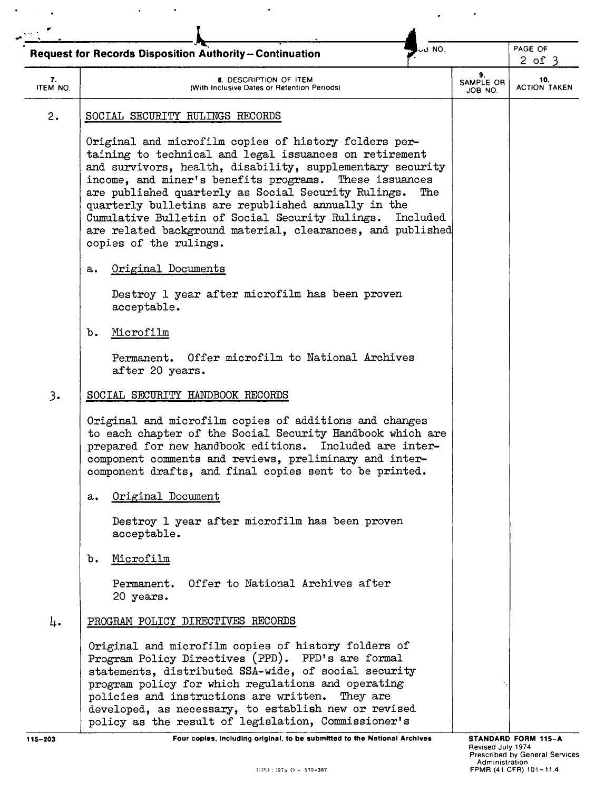|                | .NO <mark>د</mark> ت                                                                                                                                                                                                                                                                                                                                                                                                                                                                                            |                            | PAGE OF                    |  |
|----------------|-----------------------------------------------------------------------------------------------------------------------------------------------------------------------------------------------------------------------------------------------------------------------------------------------------------------------------------------------------------------------------------------------------------------------------------------------------------------------------------------------------------------|----------------------------|----------------------------|--|
|                | Request for Records Disposition Authority-Continuation                                                                                                                                                                                                                                                                                                                                                                                                                                                          |                            | $2$ of $3$                 |  |
| 7.<br>ITEM NO. | 8. DESCRIPTION OF ITEM<br>(With Inclusive Dates or Retention Periods)                                                                                                                                                                                                                                                                                                                                                                                                                                           | 9.<br>SAMPLE OR<br>JOB NO. | 10.<br><b>ACTION TAKEN</b> |  |
| 2.             | SOCIAL SECURITY RULINGS RECORDS                                                                                                                                                                                                                                                                                                                                                                                                                                                                                 |                            |                            |  |
|                | Original and microfilm copies of history folders per-<br>taining to technical and legal issuances on retirement<br>and survivors, health, disability, supplementary security<br>income, and miner's benefits programs. These issuances<br>are published quarterly as Social Security Rulings.<br>The<br>quarterly bulletins are republished annually in the<br>Cumulative Bulletin of Social Security Rulings. Included<br>are related background material, clearances, and published<br>copies of the rulings. |                            |                            |  |
|                | Original Documents<br>а.                                                                                                                                                                                                                                                                                                                                                                                                                                                                                        |                            |                            |  |
|                | Destroy 1 year after microfilm has been proven<br>acceptable.                                                                                                                                                                                                                                                                                                                                                                                                                                                   |                            |                            |  |
|                | Microfilm<br>ъ.                                                                                                                                                                                                                                                                                                                                                                                                                                                                                                 |                            |                            |  |
|                | Permanent. Offer microfilm to National Archives<br>after 20 years.                                                                                                                                                                                                                                                                                                                                                                                                                                              |                            |                            |  |
| 3.             | SOCIAL SECURITY HANDBOOK RECORDS                                                                                                                                                                                                                                                                                                                                                                                                                                                                                |                            |                            |  |
|                | Original and microfilm copies of additions and changes<br>to each chapter of the Social Security Handbook which are<br>prepared for new handbook editions. Included are inter-<br>component comments and reviews, preliminary and inter-<br>component drafts, and final copies sent to be printed.                                                                                                                                                                                                              |                            |                            |  |
|                | Original Document<br>a.                                                                                                                                                                                                                                                                                                                                                                                                                                                                                         |                            |                            |  |
|                | Destroy 1 year after microfilm has been proven<br>acceptable.                                                                                                                                                                                                                                                                                                                                                                                                                                                   |                            |                            |  |
|                | Microfilm<br>b.                                                                                                                                                                                                                                                                                                                                                                                                                                                                                                 |                            |                            |  |
|                | Permanent. Offer to National Archives after<br>20 years.                                                                                                                                                                                                                                                                                                                                                                                                                                                        |                            |                            |  |
| 4.             | PROGRAM POLICY DIRECTIVES RECORDS                                                                                                                                                                                                                                                                                                                                                                                                                                                                               |                            |                            |  |
|                | Original and microfilm copies of history folders of<br>Program Policy Directives (PPD). PPD's are formal<br>statements, distributed SSA-wide, of social security<br>program policy for which regulations and operating<br>policies and instructions are written.<br>They are<br>developed, as necessary, to establish new or revised<br>policy as the result of legislation, Commissioner's                                                                                                                     |                            |                            |  |

 $\mathcal{L}_{\mathcal{A}}$ 

 $\epsilon$  ,  $\epsilon$ 

 $\Delta \sim 1$ 

 $\langle \cdot \rangle$ 

Four copies, including original, to be submitted to the National Archives